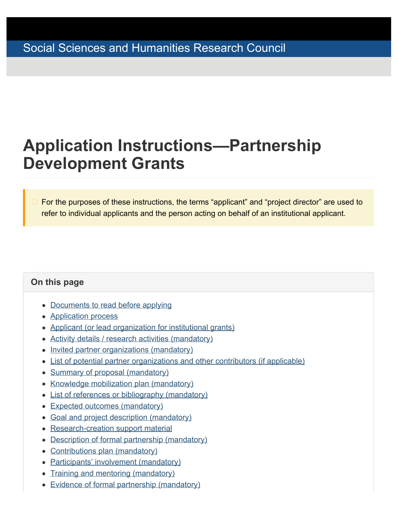# <span id="page-0-1"></span><span id="page-0-0"></span>**Application Instructions—Partnership Development Grants**

For the purposes of these instructions, the terms "applicant" and "project director" are used to refer to individual applicants and the person acting on behalf of an institutional applicant.

### **On this page**

- [Documents to read before applying](#page-1-0)
- [Application process](#page-1-1)
- [Applicant \(or lead organization for institutional grants\)](#page-4-0)
- [Activity details / research activities \(mandatory\)](#page-5-0)
- [Invited partner organizations \(mandatory\)](#page-9-0)
- [List of potential partner organizations and other contributors \(if applicable\)](#page-10-0)
- [Summary of proposal \(mandatory\)](#page-11-0)
- [Knowledge mobilization plan \(mandatory\)](#page-11-1)
- [List of references or bibliography \(mandatory\)](#page-12-0)
- [Expected outcomes \(mandatory\)](#page-12-1)
- [Goal and project description \(mandatory\)](#page-13-0)
- [Research-creation support material](#page-13-1)
- [Description of formal partnership \(mandatory\)](#page-14-0)
- [Contributions plan \(mandatory\)](#page-15-0)
- [Participants' involvement \(mandatory\)](#page-15-1)
- [Training and mentoring \(mandatory\)](#page-15-2)
- [Evidence of formal partnership \(mandatory\)](#page-16-0)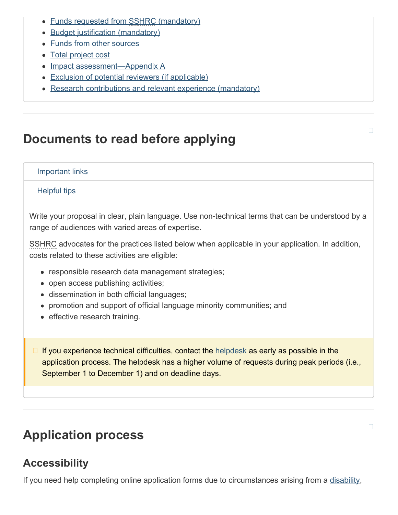- [Funds requested from SSHRC \(mandatory\)](#page-17-0)
- [Budget justification \(mandatory\)](#page-19-0)
- [Funds from other sources](#page-20-0)
- [Total project cost](#page-20-1)
- [Impact assessment—Appendix](#page-21-0) A
- [Exclusion of potential reviewers \(if applicable\)](#page-21-1)
- [Research contributions and relevant experience \(mandatory\)](#page-21-2)

# <span id="page-1-0"></span>**Documents to read before applying**

#### Important links

#### Helpful tips

Write your proposal in clear, plain language. Use non-technical terms that can be understood by a range of audiences with varied areas of expertise.

SSHRC advocates for the practices listed below when applicable in your application. In addition, costs related to these activities are eligible:

- responsible research data management strategies;
- open access publishing activities;
- dissemination in both official languages;
- promotion and support of official language minority communities; and
- effective research training.

If you experience technical difficulties, contact the [helpdesk](mailto:webgrant@sshrc-crsh.gc.ca) as early as possible in the application process. The helpdesk has a higher volume of requests during peak periods (i.e., September 1 to December 1) and on deadline days.

# <span id="page-1-1"></span>**Application process**

### **Accessibility**

If you need help completing online application forms due to circumstances arising from a [disability](https://www.sshrc-crsh.gc.ca/funding-financement/programs-programmes/definitions-eng.aspx#a31),

П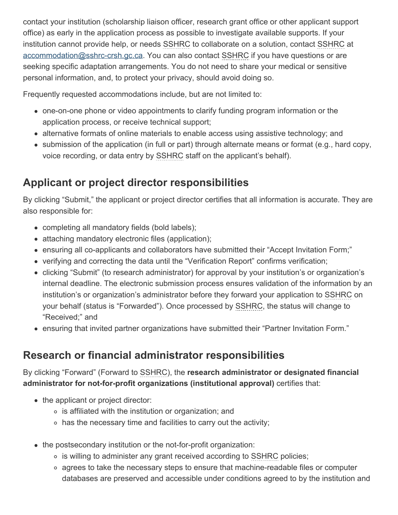contact your institution (scholarship liaison officer, research grant office or other applicant support office) as early in the application process as possible to investigate available supports. If your institution cannot provide help, or needs SSHRC to collaborate on a solution, contact SSHRC at [accommodation@sshrc-crsh.gc.ca.](mailto:accommodation@sshrc-crsh.gc.ca) You can also contact SSHRC if you have questions or are seeking specific adaptation arrangements. You do not need to share your medical or sensitive personal information, and, to protect your privacy, should avoid doing so.

Frequently requested accommodations include, but are not limited to:

- one-on-one phone or video appointments to clarify funding program information or the application process, or receive technical support;
- alternative formats of online materials to enable access using assistive technology; and
- submission of the application (in full or part) through alternate means or format (e.g., hard copy, voice recording, or data entry by SSHRC staff on the applicant's behalf).

# **Applicant or project director responsibilities**

By clicking "Submit," the applicant or project director certifies that all information is accurate. They are also responsible for:

- completing all mandatory fields (bold labels);
- attaching mandatory electronic files (application);
- ensuring all co-applicants and collaborators have submitted their "Accept Invitation Form;"
- verifying and correcting the data until the "Verification Report" confirms verification;
- clicking "Submit" (to research administrator) for approval by your institution's or organization's internal deadline. The electronic submission process ensures validation of the information by an institution's or organization's administrator before they forward your application to SSHRC on your behalf (status is "Forwarded"). Once processed by SSHRC, the status will change to "Received;" and
- ensuring that invited partner organizations have submitted their "Partner Invitation Form."

### **Research or financial administrator responsibilities**

By clicking "Forward" (Forward to SSHRC), the **research administrator or designated financial administrator for not-for-profit organizations (institutional approval)** certifies that:

- the applicant or project director:
	- is affiliated with the institution or organization; and
	- has the necessary time and facilities to carry out the activity;
- the postsecondary institution or the not-for-profit organization:
	- is willing to administer any grant received according to SSHRC policies;
	- agrees to take the necessary steps to ensure that machine-readable files or computer databases are preserved and accessible under conditions agreed to by the institution and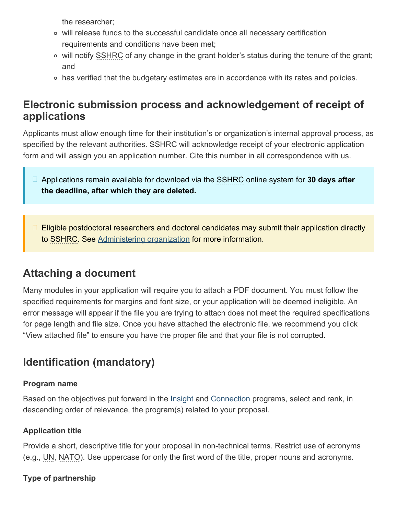the researcher;

- will release funds to the successful candidate once all necessary certification requirements and conditions have been met;
- will notify SSHRC of any change in the grant holder's status during the tenure of the grant; and
- has verified that the budgetary estimates are in accordance with its rates and policies.

### **Electronic submission process and acknowledgement of receipt of applications**

Applicants must allow enough time for their institution's or organization's internal approval process, as specified by the relevant authorities. SSHRC will acknowledge receipt of your electronic application form and will assign you an application number. Cite this number in all correspondence with us.

- Applications remain available for download via the SSHRC online system for **30 days after the deadline, after which they are deleted.**
- Eligible postdoctoral researchers and doctoral candidates may submit their application directly to SSHRC. See [Administering organization](#page-4-1) for more information.

### <span id="page-3-0"></span>**Attaching a document**

Many modules in your application will require you to attach a PDF document. You must follow the specified requirements for margins and font size, or your application will be deemed ineligible. An error message will appear if the file you are trying to attach does not meet the required specifications for page length and file size. Once you have attached the electronic file, we recommend you click "View attached file" to ensure you have the proper file and that your file is not corrupted.

# <span id="page-3-1"></span>**Identification (mandatory)**

#### **Program name**

Based on the objectives put forward in the **Insight and [Connection](https://www.sshrc-crsh.gc.ca/funding-financement/umbrella_programs-programme_cadre/connection-connexion-eng.aspx)** programs, select and rank, in descending order of relevance, the program(s) related to your proposal.

### **Application title**

Provide a short, descriptive title for your proposal in non-technical terms. Restrict use of acronyms (e.g., UN, NATO). Use uppercase for only the first word of the title, proper nouns and acronyms.

### **Type of partnership**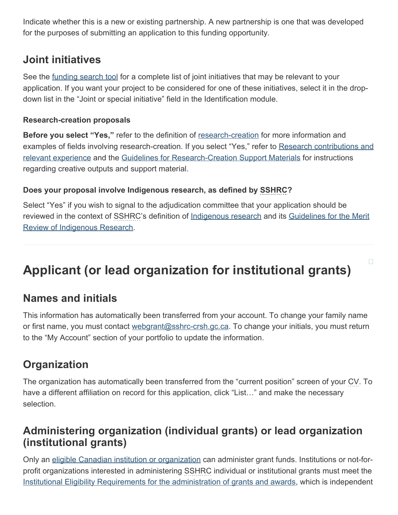Indicate whether this is a new or existing partnership. A new partnership is one that was developed for the purposes of submitting an application to this funding opportunity.

### **Joint initiatives**

See the [funding search tool](https://www.sshrc-crsh.gc.ca/funding-financement/search_tool-outil_de_recherche-eng.aspx?tID=3) for a complete list of joint initiatives that may be relevant to your application. If you want your project to be considered for one of these initiatives, select it in the dropdown list in the "Joint or special initiative" field in the Identification module.

### **Research-creation proposals**

**Before you select "Yes,"** refer to the definition of [research-creation](https://www.sshrc-crsh.gc.ca/funding-financement/programs-programmes/definitions-eng.aspx#a22) for more information and examples of fields involving research-creation. If you select "Yes," refer to [Research contributions and](#page-21-2) [relevant experience](#page-21-2) and the [Guidelines for Research-Creation Support Materials](https://www.sshrc-crsh.gc.ca/funding-financement/policies-politiques/research_creation-recherche_creation-eng.aspx) for instructions regarding creative outputs and support material.

### **Does your proposal involve Indigenous research, as defined by SSHRC?**

Select "Yes" if you wish to signal to the adjudication committee that your application should be reviewed in the context of SSHRC's definition of [Indigenous research](https://www.sshrc-crsh.gc.ca/funding-financement/programs-programmes/definitions-eng.aspx#a11) and its [Guidelines for the Merit](https://www.sshrc-crsh.gc.ca/funding-financement/merit_review-evaluation_du_merite/guidelines_research-lignes_directrices_recherche-eng.aspx) [Review of Indigenous Research.](https://www.sshrc-crsh.gc.ca/funding-financement/merit_review-evaluation_du_merite/guidelines_research-lignes_directrices_recherche-eng.aspx)

 $\Box$ 

# <span id="page-4-0"></span>**Applicant (or lead organization for institutional grants)**

### **Names and initials**

This information has automatically been transferred from your account. To change your family name or first name, you must contact [webgrant@sshrc-crsh.gc.ca.](mailto:webgrant@sshrc-crsh.gc.ca) To change your initials, you must return to the "My Account" section of your portfolio to update the information.

### **Organization**

The organization has automatically been transferred from the "current position" screen of your CV. To have a different affiliation on record for this application, click "List..." and make the necessary selection.

### <span id="page-4-1"></span>**Administering organization (individual grants) or lead organization (institutional grants)**

Only an [eligible Canadian institution or organization](https://www.sshrc-crsh.gc.ca/about-au_sujet/policies-politiques/statements-enonces/list_eligible_institutions-liste_etablissements-admissibles-eng.aspx) can administer grant funds. Institutions or not-forprofit organizations interested in administering SSHRC individual or institutional grants must meet the [Institutional Eligibility Requirements for the administration of grants and awards](http://science.gc.ca/eic/site/063.nsf/eng/h_3D5FA603.html?OpenDocument), which is independent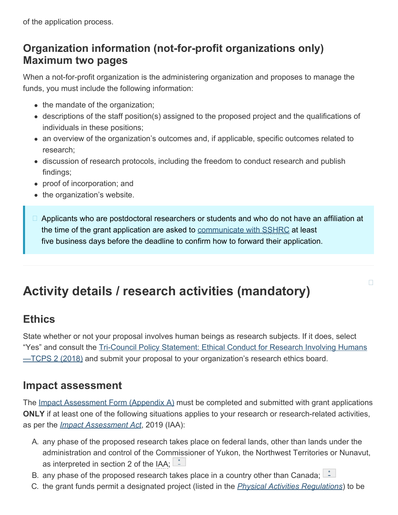of the application process.

### **Organization information (not-for-profit organizations only) Maximum two pages**

When a not-for-profit organization is the administering organization and proposes to manage the funds, you must include the following information:

- the mandate of the organization;
- descriptions of the staff position(s) assigned to the proposed project and the qualifications of individuals in these positions;
- an overview of the organization's outcomes and, if applicable, specific outcomes related to research;
- discussion of research protocols, including the freedom to conduct research and publish findings;
- proof of incorporation; and
- the organization's website.
- □ Applicants who are postdoctoral researchers or students and who do not have an affiliation at the time of the grant application are asked to [communicate with SSHRC](https://www.sshrc-crsh.gc.ca/funding-financement/programs-programmes/partnership_development_grants-subventions_partenariat_developpement-eng.aspx#8) at least five business days before the deadline to confirm how to forward their application.

 $\Box$ 

# <span id="page-5-0"></span>**Activity details / research activities (mandatory)**

### **Ethics**

State whether or not your proposal involves human beings as research subjects. If it does, select "Yes" and consult the [Tri-Council Policy Statement: Ethical Conduct for Research Involving Humans](https://ethics.gc.ca/eng/policy-politique_tcps2-eptc2_2018.html)  $-$ TCPS [2 \(2018\)](https://ethics.gc.ca/eng/policy-politique_tcps2-eptc2_2018.html) and submit your proposal to your organization's research ethics board.

### **Impact assessment**

The [Impact Assessment Form \(Appendix](https://www.sshrc-crsh.gc.ca/funding-financement/forms-formulaires/pdf/EI_Appendix_A-IA_Annexe_A-eng.pdf) A) must be completed and submitted with grant applications **ONLY** if at least one of the following situations applies to your research or research-related activities, as per the *[Impact Assessment Act](https://laws-lois.justice.gc.ca/eng/acts/I-2.75/)*, 2019 (IAA):

- A. any phase of the proposed research takes place on federal lands, other than lands under the administration and control of the Commissioner of Yukon, the Northwest Territories or Nunavut, as interpreted in section 2 of the IAA;  $\mathbb{L}^*$  $\mathbb{L}^*$
- B. any phase of the proposed research takes place in a country other than Canada;  $\Box$
- C. the grant funds permit a designated project (listed in the *[Physical Activities Regulations](https://laws.justice.gc.ca/eng/regulations/SOR-2019-285/index.html)*) to be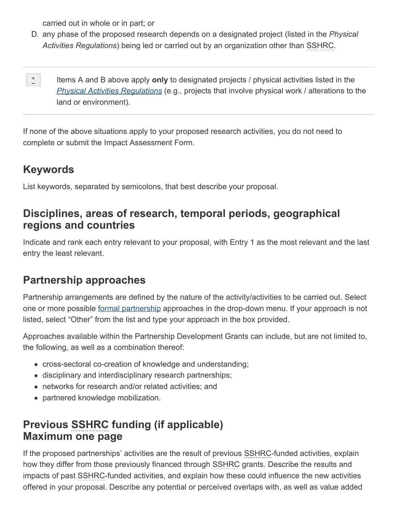carried out in whole or in part; or

- D. any phase of the proposed research depends on a designated project (listed in the *Physical Activities Regulations*) being led or carried out by an organization other than SSHRC.
- <span id="page-6-0"></span>Items A and B above apply **only** to designated projects / physical activities listed in the *[Physical Activities Regulations](https://laws.justice.gc.ca/eng/regulations/SOR-2019-285/index.html)* (e.g., projects that involve physical work / alterations to the land or environment).  $\mathbb{R}^{\star}_{+}$  :

If none of the above situations apply to your proposed research activities, you do not need to complete or submit the Impact Assessment Form.

### **Keywords**

List keywords, separated by semicolons, that best describe your proposal.

### **Disciplines, areas of research, temporal periods, geographical regions and countries**

Indicate and rank each entry relevant to your proposal, with Entry 1 as the most relevant and the last entry the least relevant.

### **Partnership approaches**

Partnership arrangements are defined by the nature of the activity/activities to be carried out. Select one or more possible [formal partnership](https://www.sshrc-crsh.gc.ca/funding-financement/programs-programmes/definitions-eng.aspx#a10) approaches in the drop-down menu. If your approach is not listed, select "Other" from the list and type your approach in the box provided.

Approaches available within the Partnership Development Grants can include, but are not limited to, the following, as well as a combination thereof:

- cross-sectoral co-creation of knowledge and understanding;
- disciplinary and interdisciplinary research partnerships;
- networks for research and/or related activities; and
- partnered knowledge mobilization.

### **Previous SSHRC funding (if applicable) Maximum one page**

If the proposed partnerships' activities are the result of previous SSHRC-funded activities, explain how they differ from those previously financed through SSHRC grants. Describe the results and impacts of past SSHRC-funded activities, and explain how these could influence the new activities offered in your proposal. Describe any potential or perceived overlaps with, as well as value added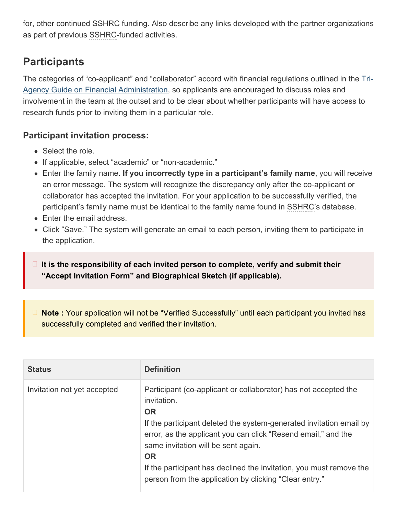for, other continued SSHRC funding. Also describe any links developed with the partner organizations as part of previous SSHRC-funded activities.

## **Participants**

The categories of "co-applicant" and "collaborator" accord with financial regulations outlined in the [Tri-](https://www.nserc-crsng.gc.ca/InterAgency-Interorganismes/TAFA-AFTO/guide-guide_eng.asp)[Agency Guide on Financial Administration,](https://www.nserc-crsng.gc.ca/InterAgency-Interorganismes/TAFA-AFTO/guide-guide_eng.asp) so applicants are encouraged to discuss roles and involvement in the team at the outset and to be clear about whether participants will have access to research funds prior to inviting them in a particular role.

### **Participant invitation process:**

- Select the role.
- If applicable, select "academic" or "non-academic."
- Enter the family name. **If you incorrectly type in a participant's family name**, you will receive an error message. The system will recognize the discrepancy only after the co-applicant or collaborator has accepted the invitation. For your application to be successfully verified, the participant's family name must be identical to the family name found in SSHRC's database.
- Enter the email address.
- Click "Save." The system will generate an email to each person, inviting them to participate in the application.

**It is the responsibility of each invited person to complete, verify and submit their "Accept Invitation Form" and Biographical Sketch (if applicable).**

**Note :** Your application will not be "Verified Successfully" until each participant you invited has successfully completed and verified their invitation.

| <b>Status</b>               | <b>Definition</b>                                                                                                                                                                                                                                                                                                                                                                                                        |
|-----------------------------|--------------------------------------------------------------------------------------------------------------------------------------------------------------------------------------------------------------------------------------------------------------------------------------------------------------------------------------------------------------------------------------------------------------------------|
| Invitation not yet accepted | Participant (co-applicant or collaborator) has not accepted the<br>invitation.<br><b>OR</b><br>If the participant deleted the system-generated invitation email by<br>error, as the applicant you can click "Resend email," and the<br>same invitation will be sent again.<br><b>OR</b><br>If the participant has declined the invitation, you must remove the<br>person from the application by clicking "Clear entry." |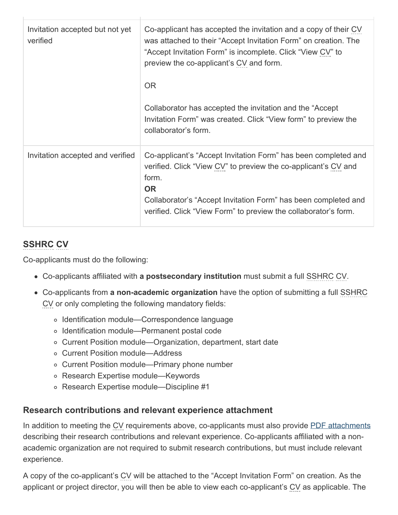| Invitation accepted but not yet<br>verified | Co-applicant has accepted the invitation and a copy of their CV<br>was attached to their "Accept Invitation Form" on creation. The<br>"Accept Invitation Form" is incomplete. Click "View CV" to<br>preview the co-applicant's CV and form.<br><b>OR</b><br>Collaborator has accepted the invitation and the "Accept"<br>Invitation Form" was created. Click "View form" to preview the<br>collaborator's form. |
|---------------------------------------------|-----------------------------------------------------------------------------------------------------------------------------------------------------------------------------------------------------------------------------------------------------------------------------------------------------------------------------------------------------------------------------------------------------------------|
| Invitation accepted and verified            | Co-applicant's "Accept Invitation Form" has been completed and<br>verified. Click "View CV" to preview the co-applicant's CV and<br>form.<br><b>OR</b><br>Collaborator's "Accept Invitation Form" has been completed and<br>verified. Click "View Form" to preview the collaborator's form.                                                                                                                     |

### **SSHRC CV**

Co-applicants must do the following:

- Co-applicants affiliated with **a postsecondary institution** must submit a full SSHRC CV.
- Co-applicants from **a non-academic organization** have the option of submitting a full SSHRC CV or only completing the following mandatory fields:
	- Identification module—Correspondence language
	- Identification module—Permanent postal code
	- Current Position module—Organization, department, start date
	- Current Position module—Address
	- Current Position module—Primary phone number
	- Research Expertise module—Keywords
	- Research Expertise module—Discipline #1

### **Research contributions and relevant experience attachment**

In addition to meeting the CV requirements above, co-applicants must also provide [PDF attachments](#page-3-0) describing their research contributions and relevant experience. Co-applicants affiliated with a nonacademic organization are not required to submit research contributions, but must include relevant experience.

A copy of the co-applicant's CV will be attached to the "Accept Invitation Form" on creation. As the applicant or project director, you will then be able to view each co-applicant's CV as applicable. The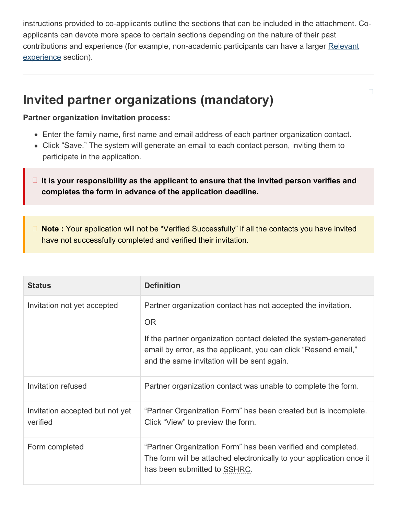instructions provided to co-applicants outline the sections that can be included in the attachment. Coapplicants can devote more space to certain sections depending on the nature of their past contributions and experience (for example, non-academic participants can have a larger [Relevant](#page-21-2) [experience](#page-21-2) section).

 $\Box$ 

# <span id="page-9-0"></span>**Invited partner organizations (mandatory)**

#### **Partner organization invitation process:**

- Enter the family name, first name and email address of each partner organization contact.
- Click "Save." The system will generate an email to each contact person, inviting them to participate in the application.
- **It is your responsibility as the applicant to ensure that the invited person verifies and completes the form in advance of the application deadline.**

**Note :** Your application will not be "Verified Successfully" if all the contacts you have invited have not successfully completed and verified their invitation.

| <b>Status</b>                               | <b>Definition</b>                                                                                                                                                                                                                                                |
|---------------------------------------------|------------------------------------------------------------------------------------------------------------------------------------------------------------------------------------------------------------------------------------------------------------------|
| Invitation not yet accepted                 | Partner organization contact has not accepted the invitation.<br><b>OR</b><br>If the partner organization contact deleted the system-generated<br>email by error, as the applicant, you can click "Resend email,"<br>and the same invitation will be sent again. |
| Invitation refused                          | Partner organization contact was unable to complete the form.                                                                                                                                                                                                    |
| Invitation accepted but not yet<br>verified | "Partner Organization Form" has been created but is incomplete.<br>Click "View" to preview the form.                                                                                                                                                             |
| Form completed                              | "Partner Organization Form" has been verified and completed.<br>The form will be attached electronically to your application once it<br>has been submitted to SSHRC.                                                                                             |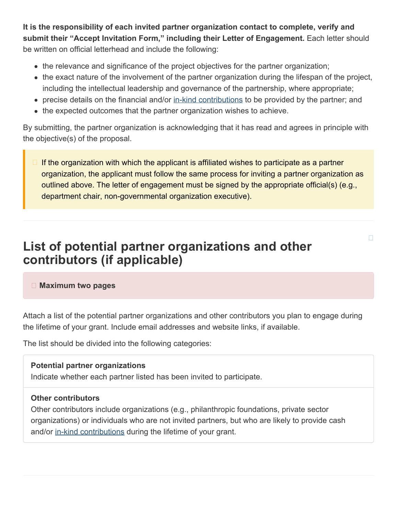**It is the responsibility of each invited partner organization contact to complete, verify and submit their "Accept Invitation Form," including their Letter of Engagement.** Each letter should be written on official letterhead and include the following:

- the relevance and significance of the project objectives for the partner organization;
- the exact nature of the involvement of the partner organization during the lifespan of the project, including the intellectual leadership and governance of the partnership, where appropriate;
- precise details on the financial and/or [in-kind contributions](https://www.sshrc-crsh.gc.ca/funding-financement/programs-programmes/definitions-eng.aspx#a15) to be provided by the partner; and
- the expected outcomes that the partner organization wishes to achieve.

By submitting, the partner organization is acknowledging that it has read and agrees in principle with the objective(s) of the proposal.

If the organization with which the applicant is affiliated wishes to participate as a partner organization, the applicant must follow the same process for inviting a partner organization as outlined above. The letter of engagement must be signed by the appropriate official(s) (e.g., department chair, non-governmental organization executive).

П

# <span id="page-10-0"></span>**List of potential partner organizations and other contributors (if applicable)**

#### **Maximum two pages**

Attach a list of the potential partner organizations and other contributors you plan to engage during the lifetime of your grant. Include email addresses and website links, if available.

The list should be divided into the following categories:

#### **Potential partner organizations**

Indicate whether each partner listed has been invited to participate.

#### **Other contributors**

Other contributors include organizations (e.g., philanthropic foundations, private sector organizations) or individuals who are not invited partners, but who are likely to provide cash and/or [in-kind contributions](https://www.sshrc-crsh.gc.ca/funding-financement/programs-programmes/definitions-eng.aspx#a15) during the lifetime of your grant.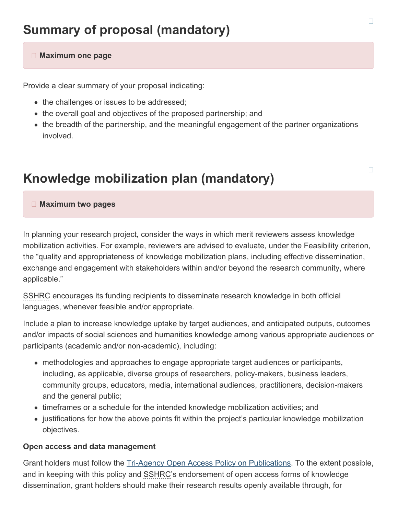#### <span id="page-11-0"></span> **Maximum one page**

Provide a clear summary of your proposal indicating:

- the challenges or issues to be addressed;
- the overall goal and objectives of the proposed partnership; and
- the breadth of the partnership, and the meaningful engagement of the partner organizations involved.

# <span id="page-11-1"></span>**Knowledge mobilization plan (mandatory)**

#### **Maximum two pages**

In planning your research project, consider the ways in which merit reviewers assess knowledge mobilization activities. For example, reviewers are advised to evaluate, under the Feasibility criterion, the "quality and appropriateness of knowledge mobilization plans, including effective dissemination, exchange and engagement with stakeholders within and/or beyond the research community, where applicable."

SSHRC encourages its funding recipients to disseminate research knowledge in both official languages, whenever feasible and/or appropriate.

Include a plan to increase knowledge uptake by target audiences, and anticipated outputs, outcomes and/or impacts of social sciences and humanities knowledge among various appropriate audiences or participants (academic and/or non-academic), including:

- methodologies and approaches to engage appropriate target audiences or participants, including, as applicable, diverse groups of researchers, policy-makers, business leaders, community groups, educators, media, international audiences, practitioners, decision-makers and the general public;
- timeframes or a schedule for the intended knowledge mobilization activities; and
- justifications for how the above points fit within the project's particular knowledge mobilization objectives.

#### **Open access and data management**

Grant holders must follow the [Tri-Agency Open Access Policy on Publications.](http://www.science.gc.ca/eic/site/063.nsf/eng/h_F6765465.html?OpenDocument) To the extent possible, and in keeping with this policy and SSHRC's endorsement of open access forms of knowledge dissemination, grant holders should make their research results openly available through, for

П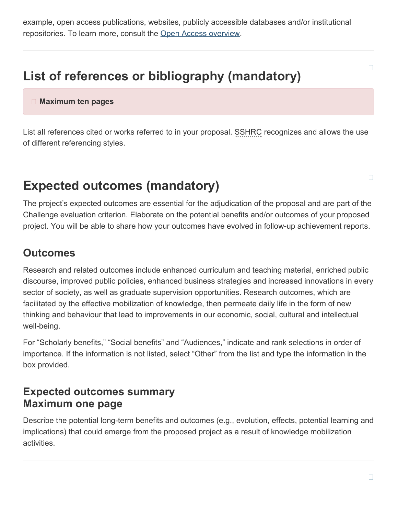example, open access publications, websites, publicly accessible databases and/or institutional repositories. To learn more, consult the [Open Access overview](http://www.science.gc.ca/eic/site/063.nsf/eng/h_75F21A63.html?OpenDocument).

# <span id="page-12-0"></span>**List of references or bibliography (mandatory)**

 **Maximum ten pages**

List all references cited or works referred to in your proposal. SSHRC recognizes and allows the use of different referencing styles.

# <span id="page-12-1"></span>**Expected outcomes (mandatory)**

The project's expected outcomes are essential for the adjudication of the proposal and are part of the Challenge evaluation criterion. Elaborate on the potential benefits and/or outcomes of your proposed project. You will be able to share how your outcomes have evolved in follow-up achievement reports.

### **Outcomes**

Research and related outcomes include enhanced curriculum and teaching material, enriched public discourse, improved public policies, enhanced business strategies and increased innovations in every sector of society, as well as graduate supervision opportunities. Research outcomes, which are facilitated by the effective mobilization of knowledge, then permeate daily life in the form of new thinking and behaviour that lead to improvements in our economic, social, cultural and intellectual well-being.

For "Scholarly benefits," "Social benefits" and "Audiences," indicate and rank selections in order of importance. If the information is not listed, select "Other" from the list and type the information in the box provided.

### **Expected outcomes summary Maximum one page**

Describe the potential long-term benefits and outcomes (e.g., evolution, effects, potential learning and implications) that could emerge from the proposed project as a result of knowledge mobilization activities.

 $\Box$ 

 $\Box$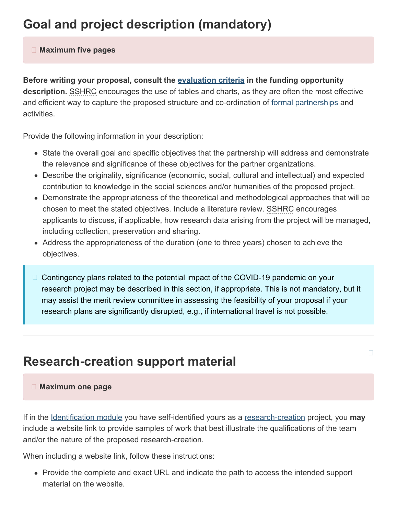# <span id="page-13-0"></span>**Goal and project description (mandatory)**

#### **Maximum five pages**

**Before writing your proposal, consult the [evaluation criteria](https://www.sshrc-crsh.gc.ca/funding-financement/programs-programmes/partnership_development_grants-subventions_partenariat_developpement-eng.aspx#6) in the funding opportunity description.** SSHRC encourages the use of tables and charts, as they are often the most effective and efficient way to capture the proposed structure and co-ordination of [formal partnerships](https://www.sshrc-crsh.gc.ca/funding-financement/programs-programmes/definitions-eng.aspx#a10) and activities.

Provide the following information in your description:

- State the overall goal and specific objectives that the partnership will address and demonstrate the relevance and significance of these objectives for the partner organizations.
- Describe the originality, significance (economic, social, cultural and intellectual) and expected contribution to knowledge in the social sciences and/or humanities of the proposed project.
- Demonstrate the appropriateness of the theoretical and methodological approaches that will be chosen to meet the stated objectives. Include a literature review. SSHRC encourages applicants to discuss, if applicable, how research data arising from the project will be managed, including collection, preservation and sharing.
- Address the appropriateness of the duration (one to three years) chosen to achieve the objectives.
- Contingency plans related to the potential impact of the COVID-19 pandemic on your research project may be described in this section, if appropriate. This is not mandatory, but it may assist the merit review committee in assessing the feasibility of your proposal if your research plans are significantly disrupted, e.g., if international travel is not possible.

П

# <span id="page-13-1"></span>**Research-creation support material**

#### **Maximum one page**

If in the [Identification module](#page-3-1) you have self-identified yours as a [research-creation](https://www.sshrc-crsh.gc.ca/funding-financement/programs-programmes/definitions-eng.aspx#a22) project, you **may** include a website link to provide samples of work that best illustrate the qualifications of the team and/or the nature of the proposed research-creation.

When including a website link, follow these instructions:

Provide the complete and exact URL and indicate the path to access the intended support material on the website.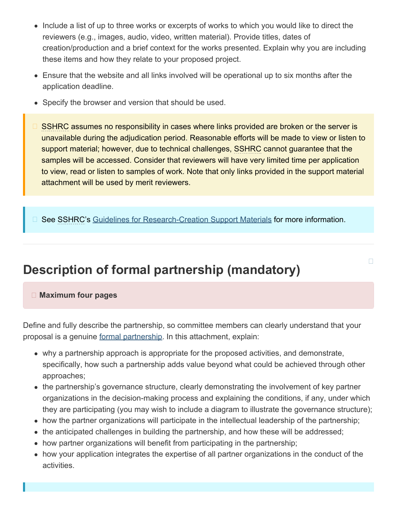- Include a list of up to three works or excerpts of works to which you would like to direct the reviewers (e.g., images, audio, video, written material). Provide titles, dates of creation/production and a brief context for the works presented. Explain why you are including these items and how they relate to your proposed project.
- Ensure that the website and all links involved will be operational up to six months after the application deadline.
- Specify the browser and version that should be used.
- SSHRC assumes no responsibility in cases where links provided are broken or the server is unavailable during the adjudication period. Reasonable efforts will be made to view or listen to support material; however, due to technical challenges, SSHRC cannot guarantee that the samples will be accessed. Consider that reviewers will have very limited time per application to view, read or listen to samples of work. Note that only links provided in the support material attachment will be used by merit reviewers.

See SSHRC's [Guidelines for Research-Creation Support Materials](https://www.sshrc-crsh.gc.ca/funding-financement/policies-politiques/research_creation-recherche_creation-eng.aspx) for more information.  $\Box$ 

 $\Box$ 

# <span id="page-14-0"></span>**Description of formal partnership (mandatory)**

#### **Maximum four pages**

Define and fully describe the partnership, so committee members can clearly understand that your proposal is a genuine [formal partnership](https://www.sshrc-crsh.gc.ca/funding-financement/programs-programmes/definitions-eng.aspx#a10). In this attachment, explain:

- why a partnership approach is appropriate for the proposed activities, and demonstrate, specifically, how such a partnership adds value beyond what could be achieved through other approaches;
- the partnership's governance structure, clearly demonstrating the involvement of key partner organizations in the decision-making process and explaining the conditions, if any, under which they are participating (you may wish to include a diagram to illustrate the governance structure);
- how the partner organizations will participate in the intellectual leadership of the partnership;
- the anticipated challenges in building the partnership, and how these will be addressed;
- how partner organizations will benefit from participating in the partnership;
- how your application integrates the expertise of all partner organizations in the conduct of the activities.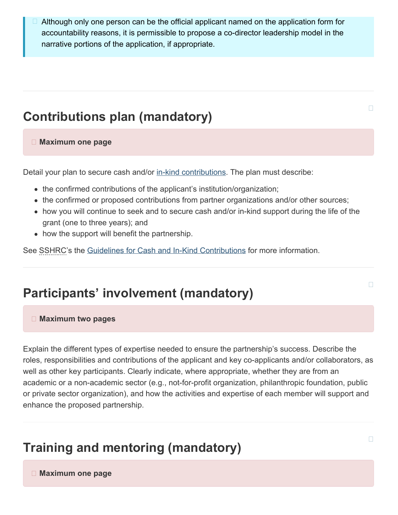Although only one person can be the official applicant named on the application form for accountability reasons, it is permissible to propose a co-director leadership model in the narrative portions of the application, if appropriate.  $\Box$ 

# <span id="page-15-0"></span>**Contributions plan (mandatory)**

#### **Maximum one page**

Detail your plan to secure cash and/or [in-kind contributions](https://www.sshrc-crsh.gc.ca/funding-financement/programs-programmes/definitions-eng.aspx#a15). The plan must describe:

- the confirmed contributions of the applicant's institution/organization;
- the confirmed or proposed contributions from partner organizations and/or other sources;
- how you will continue to seek and to secure cash and/or in-kind support during the life of the grant (one to three years); and
- how the support will benefit the partnership.

See SSHRC's the [Guidelines for Cash and In-Kind Contributions](https://www.sshrc-crsh.gc.ca/funding-financement/policies-politiques/cash_inkind-especes_en_nature-eng.aspx) for more information.

# <span id="page-15-1"></span>**Participants' involvement (mandatory)**

#### **Maximum two pages**

Explain the different types of expertise needed to ensure the partnership's success. Describe the roles, responsibilities and contributions of the applicant and key co-applicants and/or collaborators, as well as other key participants. Clearly indicate, where appropriate, whether they are from an academic or a non-academic sector (e.g., not-for-profit organization, philanthropic foundation, public or private sector organization), and how the activities and expertise of each member will support and enhance the proposed partnership.

# <span id="page-15-2"></span>**Training and mentoring (mandatory)**

 **Maximum one page**

# $\Box$

 $\Box$ 

 $\Box$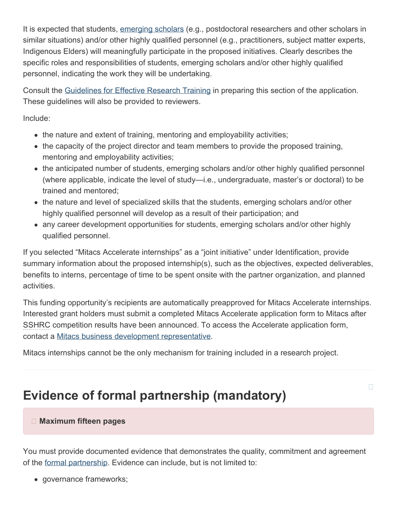It is expected that students, [emerging scholars](https://www.sshrc-crsh.gc.ca/funding-financement/programs-programmes/definitions-eng.aspx#a12) (e.g., postdoctoral researchers and other scholars in similar situations) and/or other highly qualified personnel (e.g., practitioners, subject matter experts, Indigenous Elders) will meaningfully participate in the proposed initiatives. Clearly describes the specific roles and responsibilities of students, emerging scholars and/or other highly qualified personnel, indicating the work they will be undertaking.

Consult the [Guidelines for Effective Research Training](https://www.sshrc-crsh.gc.ca/funding-financement/policies-politiques/effective_research_training-formation_en_recherche_efficace-eng.aspx) in preparing this section of the application. These guidelines will also be provided to reviewers.

Include:

- the nature and extent of training, mentoring and employability activities;
- the capacity of the project director and team members to provide the proposed training, mentoring and employability activities;
- the anticipated number of students, emerging scholars and/or other highly qualified personnel (where applicable, indicate the level of study—i.e., undergraduate, master's or doctoral) to be trained and mentored;
- the nature and level of specialized skills that the students, emerging scholars and/or other highly qualified personnel will develop as a result of their participation; and
- any career development opportunities for students, emerging scholars and/or other highly qualified personnel.

If you selected "Mitacs Accelerate internships" as a "joint initiative" under Identification, provide summary information about the proposed internship(s), such as the objectives, expected deliverables, benefits to interns, percentage of time to be spent onsite with the partner organization, and planned activities.

This funding opportunity's recipients are automatically preapproved for Mitacs Accelerate internships. Interested grant holders must submit a completed Mitacs Accelerate application form to Mitacs after SSHRC competition results have been announced. To access the Accelerate application form, contact a [Mitacs business development representative](http://www.mitacs.ca/en/contact-us/business-development).

Mitacs internships cannot be the only mechanism for training included in a research project.

# <span id="page-16-0"></span>**Evidence of formal partnership (mandatory)**

 $\Box$ 

#### **Maximum fifteen pages**

You must provide documented evidence that demonstrates the quality, commitment and agreement of the [formal partnership](https://www.sshrc-crsh.gc.ca/funding-financement/programs-programmes/definitions-eng.aspx#a10). Evidence can include, but is not limited to:

governance frameworks;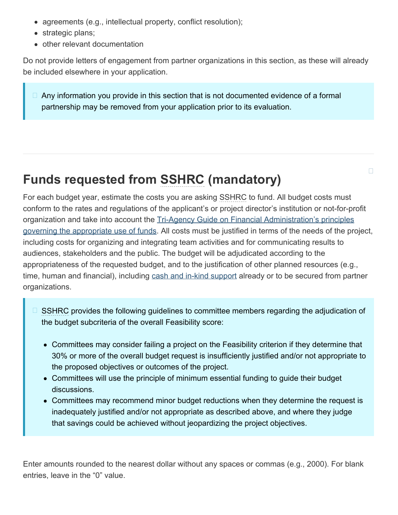- agreements (e.g., intellectual property, conflict resolution);
- strategic plans;
- other relevant documentation

Do not provide letters of engagement from partner organizations in this section, as these will already be included elsewhere in your application.

 $\Box$  Any information you provide in this section that is not documented evidence of a formal partnership may be removed from your application prior to its evaluation.

# <span id="page-17-0"></span>**Funds requested from SSHRC (mandatory)**

For each budget year, estimate the costs you are asking SSHRC to fund. All budget costs must conform to the rates and regulations of the applicant's or project director's institution or not-for-profit organization and take into account the [Tri-Agency Guide on Financial Administration's principles](https://www.nserc-crsng.gc.ca/InterAgency-Interorganismes/TAFA-AFTO/guide-guide_eng.asp#10) [governing the appropriate use of funds.](https://www.nserc-crsng.gc.ca/InterAgency-Interorganismes/TAFA-AFTO/guide-guide_eng.asp#10) All costs must be justified in terms of the needs of the project, including costs for organizing and integrating team activities and for communicating results to audiences, stakeholders and the public. The budget will be adjudicated according to the appropriateness of the requested budget, and to the justification of other planned resources (e.g., time, human and financial), including [cash and in-kind support](https://www.sshrc-crsh.gc.ca/funding-financement/policies-politiques/cash_inkind-especes_en_nature-eng.aspx) already or to be secured from partner organizations.

 $\Box$ 

- SSHRC provides the following guidelines to committee members regarding the adjudication of the budget subcriteria of the overall Feasibility score:
	- Committees may consider failing a project on the Feasibility criterion if they determine that 30% or more of the overall budget request is insufficiently justified and/or not appropriate to the proposed objectives or outcomes of the project.
	- Committees will use the principle of minimum essential funding to guide their budget discussions.
	- Committees may recommend minor budget reductions when they determine the request is inadequately justified and/or not appropriate as described above, and where they judge that savings could be achieved without jeopardizing the project objectives.

Enter amounts rounded to the nearest dollar without any spaces or commas (e.g., 2000). For blank entries, leave in the "0" value.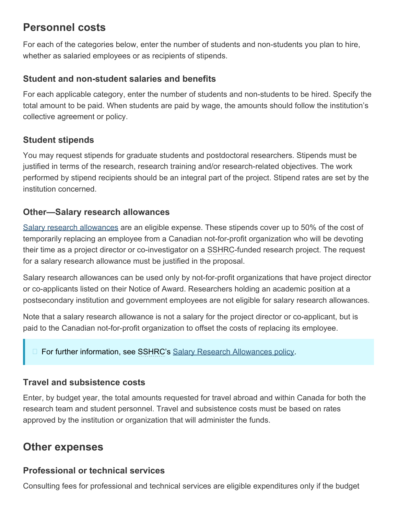### **Personnel costs**

For each of the categories below, enter the number of students and non-students you plan to hire, whether as salaried employees or as recipients of stipends.

### <span id="page-18-0"></span>**Student and non-student salaries and benefits**

For each applicable category, enter the number of students and non-students to be hired. Specify the total amount to be paid. When students are paid by wage, the amounts should follow the institution's collective agreement or policy.

### **Student stipends**

You may request stipends for graduate students and postdoctoral researchers. Stipends must be justified in terms of the research, research training and/or research-related objectives. The work performed by stipend recipients should be an integral part of the project. Stipend rates are set by the institution concerned.

### **Other—Salary research allowances**

[Salary research allowances](https://www.sshrc-crsh.gc.ca/funding-financement/policies-politiques/g_stipends-s_indemnite-eng.aspx) are an eligible expense. These stipends cover up to 50% of the cost of temporarily replacing an employee from a Canadian not-for-profit organization who will be devoting their time as a project director or co-investigator on a SSHRC-funded research project. The request for a salary research allowance must be justified in the proposal.

Salary research allowances can be used only by not-for-profit organizations that have project director or co-applicants listed on their Notice of Award. Researchers holding an academic position at a postsecondary institution and government employees are not eligible for salary research allowances.

Note that a salary research allowance is not a salary for the project director or co-applicant, but is paid to the Canadian not-for-profit organization to offset the costs of replacing its employee.

### □ For further information, see SSHRC's [Salary Research Allowances policy.](https://www.sshrc-crsh.gc.ca/funding-financement/policies-politiques/g_stipends-s_indemnite-eng.aspx)

### **Travel and subsistence costs**

Enter, by budget year, the total amounts requested for travel abroad and within Canada for both the research team and student personnel. Travel and subsistence costs must be based on rates approved by the institution or organization that will administer the funds.

### **Other expenses**

### **Professional or technical services**

Consulting fees for professional and technical services are eligible expenditures only if the budget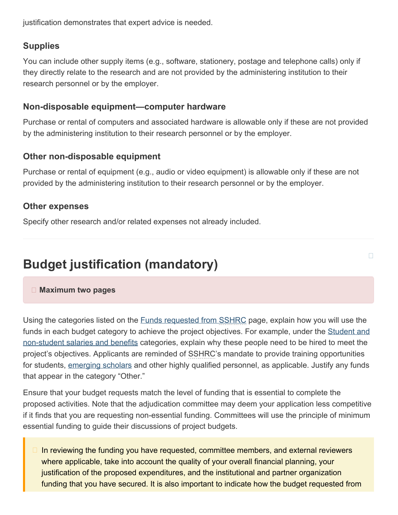justification demonstrates that expert advice is needed.

### **Supplies**

You can include other supply items (e.g., software, stationery, postage and telephone calls) only if they directly relate to the research and are not provided by the administering institution to their research personnel or by the employer.

### **Non-disposable equipment—computer hardware**

Purchase or rental of computers and associated hardware is allowable only if these are not provided by the administering institution to their research personnel or by the employer.

### **Other non-disposable equipment**

Purchase or rental of equipment (e.g., audio or video equipment) is allowable only if these are not provided by the administering institution to their research personnel or by the employer.

### **Other expenses**

Specify other research and/or related expenses not already included.

# <span id="page-19-0"></span>**Budget justification (mandatory)**

#### **Maximum two pages**

Using the categories listed on the **Funds requested from SSHRC** page, explain how you will use the funds in each budget category to achieve the project objectives. For example, under the [Student and](#page-18-0) [non-student salaries and benefits](#page-18-0) categories, explain why these people need to be hired to meet the project's objectives. Applicants are reminded of SSHRC's mandate to provide training opportunities for students, [emerging scholars](https://www.sshrc-crsh.gc.ca/funding-financement/programs-programmes/definitions-eng.aspx#a12) and other highly qualified personnel, as applicable. Justify any funds that appear in the category "Other."

П

Ensure that your budget requests match the level of funding that is essential to complete the proposed activities. Note that the adjudication committee may deem your application less competitive if it finds that you are requesting non-essential funding. Committees will use the principle of minimum essential funding to guide their discussions of project budgets.

In reviewing the funding you have requested, committee members, and external reviewers where applicable, take into account the quality of your overall financial planning, your justification of the proposed expenditures, and the institutional and partner organization funding that you have secured. It is also important to indicate how the budget requested from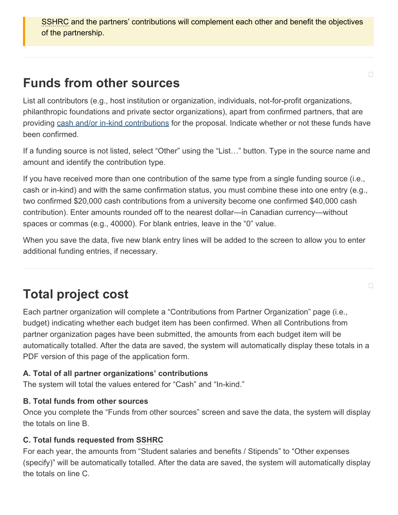SSHRC and the partners' contributions will complement each other and benefit the objectives of the partnership.

# <span id="page-20-0"></span>**Funds from other sources**

List all contributors (e.g., host institution or organization, individuals, not-for-profit organizations, philanthropic foundations and private sector organizations), apart from confirmed partners, that are providing [cash and/or in-kind contributions](https://www.sshrc-crsh.gc.ca/funding-financement/policies-politiques/cash_inkind-especes_en_nature-eng.aspx) for the proposal. Indicate whether or not these funds have been confirmed.

If a funding source is not listed, select "Other" using the "List…" button. Type in the source name and amount and identify the contribution type.

If you have received more than one contribution of the same type from a single funding source (i.e., cash or in-kind) and with the same confirmation status, you must combine these into one entry (e.g., two confirmed \$20,000 cash contributions from a university become one confirmed \$40,000 cash contribution). Enter amounts rounded off to the nearest dollar—in Canadian currency—without spaces or commas (e.g., 40000). For blank entries, leave in the "0" value.

When you save the data, five new blank entry lines will be added to the screen to allow you to enter additional funding entries, if necessary.

# <span id="page-20-1"></span>**Total project cost**

Each partner organization will complete a "Contributions from Partner Organization" page (i.e., budget) indicating whether each budget item has been confirmed. When all Contributions from partner organization pages have been submitted, the amounts from each budget item will be automatically totalled. After the data are saved, the system will automatically display these totals in a PDF version of this page of the application form.

#### **A. Total of all partner organizations' contributions**

The system will total the values entered for "Cash" and "In-kind."

#### **B. Total funds from other sources**

Once you complete the "Funds from other sources" screen and save the data, the system will display the totals on line B.

#### **C. Total funds requested from SSHRC**

For each year, the amounts from "Student salaries and benefits / Stipends" to "Other expenses (specify)" will be automatically totalled. After the data are saved, the system will automatically display the totals on line C.

 $\Box$ 

 $\Box$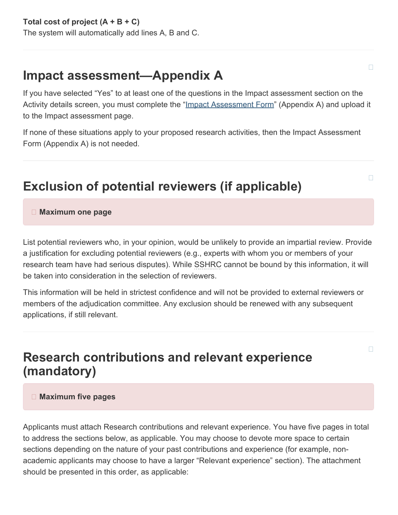# <span id="page-21-0"></span>**Impact assessment—Appendix A**

If you have selected "Yes" to at least one of the questions in the Impact assessment section on the Activity details screen, you must complete the ["Impact Assessment Form](https://www.sshrc-crsh.gc.ca/funding-financement/forms-formulaires/pdf/EI_Appendix_A-IA_Annexe_A-eng.pdf)" (Appendix A) and upload it to the Impact assessment page.

If none of these situations apply to your proposed research activities, then the Impact Assessment Form (Appendix A) is not needed.

# <span id="page-21-1"></span>**Exclusion of potential reviewers (if applicable)**

#### **Maximum one page**

List potential reviewers who, in your opinion, would be unlikely to provide an impartial review. Provide a justification for excluding potential reviewers (e.g., experts with whom you or members of your research team have had serious disputes). While SSHRC cannot be bound by this information, it will be taken into consideration in the selection of reviewers.

This information will be held in strictest confidence and will not be provided to external reviewers or members of the adjudication committee. Any exclusion should be renewed with any subsequent applications, if still relevant.

## <span id="page-21-2"></span>**Research contributions and relevant experience (mandatory)**

#### **Maximum five pages**

Applicants must attach Research contributions and relevant experience. You have five pages in total to address the sections below, as applicable. You may choose to devote more space to certain sections depending on the nature of your past contributions and experience (for example, nonacademic applicants may choose to have a larger "Relevant experience" section). The attachment should be presented in this order, as applicable:

 $\Box$ 

 $\Box$ 

 $\Box$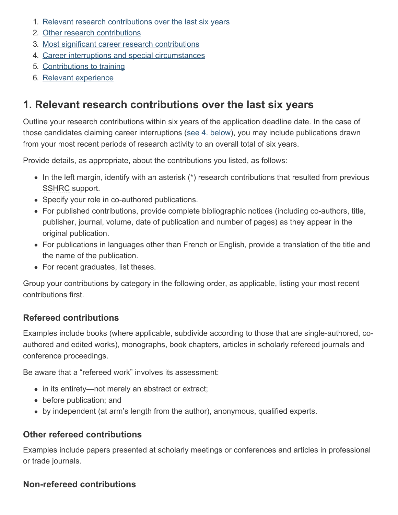- 1. [Relevant research contributions over the last six](#page-22-0) years
- 2. [Other research contributions](#page-23-0)
- 3. [Most significant career research contributions](#page-23-1)
- 4. [Career interruptions and special circumstances](#page-23-2)
- 5. [Contributions to training](#page-24-0)
- 6. [Relevant experience](#page-24-1)

## <span id="page-22-0"></span>**1. Relevant research contributions over the last six years**

Outline your research contributions within six years of the application deadline date. In the case of those candidates claiming career interruptions ([see 4. below](#page-23-2)), you may include publications drawn from your most recent periods of research activity to an overall total of six years.

Provide details, as appropriate, about the contributions you listed, as follows:

- $\bullet$  In the left margin, identify with an asterisk (\*) research contributions that resulted from previous SSHRC support.
- Specify your role in co-authored publications.
- For published contributions, provide complete bibliographic notices (including co-authors, title, publisher, journal, volume, date of publication and number of pages) as they appear in the original publication.
- For publications in languages other than French or English, provide a translation of the title and the name of the publication.
- For recent graduates, list theses.

Group your contributions by category in the following order, as applicable, listing your most recent contributions first.

### **Refereed contributions**

Examples include books (where applicable, subdivide according to those that are single-authored, coauthored and edited works), monographs, book chapters, articles in scholarly refereed journals and conference proceedings.

Be aware that a "refereed work" involves its assessment:

- in its entirety—not merely an abstract or extract;
- before publication; and
- by independent (at arm's length from the author), anonymous, qualified experts.

### **Other refereed contributions**

Examples include papers presented at scholarly meetings or conferences and articles in professional or trade journals.

### **Non-refereed contributions**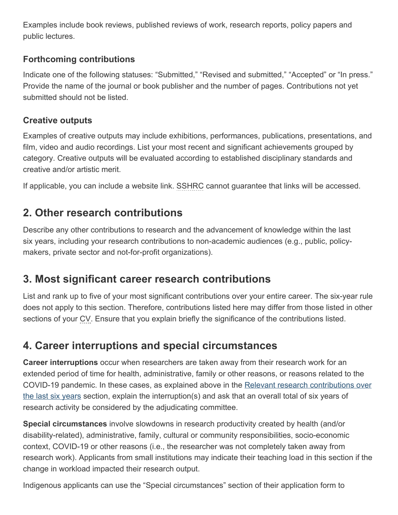Examples include book reviews, published reviews of work, research reports, policy papers and public lectures.

### **Forthcoming contributions**

Indicate one of the following statuses: "Submitted," "Revised and submitted," "Accepted" or "In press." Provide the name of the journal or book publisher and the number of pages. Contributions not yet submitted should not be listed.

### **Creative outputs**

Examples of creative outputs may include exhibitions, performances, publications, presentations, and film, video and audio recordings. List your most recent and significant achievements grouped by category. Creative outputs will be evaluated according to established disciplinary standards and creative and/or artistic merit.

If applicable, you can include a website link. SSHRC cannot guarantee that links will be accessed.

### <span id="page-23-0"></span>**2. Other research contributions**

Describe any other contributions to research and the advancement of knowledge within the last six years, including your research contributions to non-academic audiences (e.g., public, policymakers, private sector and not-for-profit organizations).

### <span id="page-23-1"></span>**3. Most significant career research contributions**

List and rank up to five of your most significant contributions over your entire career. The six-year rule does not apply to this section. Therefore, contributions listed here may differ from those listed in other sections of your CV. Ensure that you explain briefly the significance of the contributions listed.

### <span id="page-23-2"></span>**4. Career interruptions and special circumstances**

**Career interruptions** occur when researchers are taken away from their research work for an extended period of time for health, administrative, family or other reasons, or reasons related to the COVID-19 pandemic. In these cases, as explained above in the [Relevant research contributions over](#page-22-0) [the last six](#page-22-0) years section, explain the interruption(s) and ask that an overall total of six years of research activity be considered by the adjudicating committee.

**Special circumstances** involve slowdowns in research productivity created by health (and/or disability-related), administrative, family, cultural or community responsibilities, socio-economic context, COVID-19 or other reasons (i.e., the researcher was not completely taken away from research work). Applicants from small institutions may indicate their teaching load in this section if the change in workload impacted their research output.

Indigenous applicants can use the "Special circumstances" section of their application form to